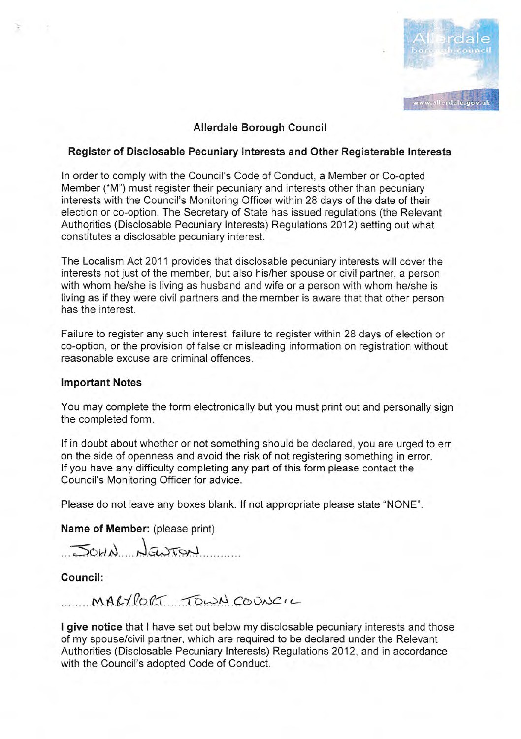

# Allerdale Borough Council

### Register of Disclosable Pecuniary lnterests and Other Registerable lnterests

In order to comply with the Council's Code of Conduct, a Member or Co-opted Member ("M") must register their pecuniary and interests other than pecuniary interests with the Council's Monitoring Officer within 28 days of the date of their election or co-option. The Secretary of State has issued regulations (the Relevant Authorities (Disclosable Pecuniary lnterests) Regulations 2012) setting out what constitutes a disclosable pecuniary interest.

The Localism Act 2011 provides that disclosable pecuniary interests will cover the interests not just of the member, but also his/her spouse or civil partner, a person with whom he/she is living as husband and wife or a person with whom he/she is living as if they were civil partners and the member is aware that that other person has the interest.

Failure to register any such interest, failure to register within 28 days of election or co-option, or the provision of false or misleading information on registration without reasonable excuse are criminal offences.

### lmportant Notes

You may complete the form electronically but you must print out and personally sign the completed form.

lf in doubt about whether or not something should be declared, you are urged to err on the side of openness and avoid the risk of not registering something in error. lf you have any difficulty completing any part of this form please contact the Council's Monitoring Officer for advice.

Please do not leave any boxes blank. lf not appropriate please state "NONE".

Name of Member: (please print)

JOHN NEWTON

Council:

 $MAKHOCI$  TOWN COONCIL

I give notice that I have set out below my disclosable pecuniary interests and those of my spouse/civil partner, which are required to be declared under the Relevant Authorities (Disclosable Pecuniary Interests) Regulations 2012, and in accordance with the Council's adopted Code of Conduct.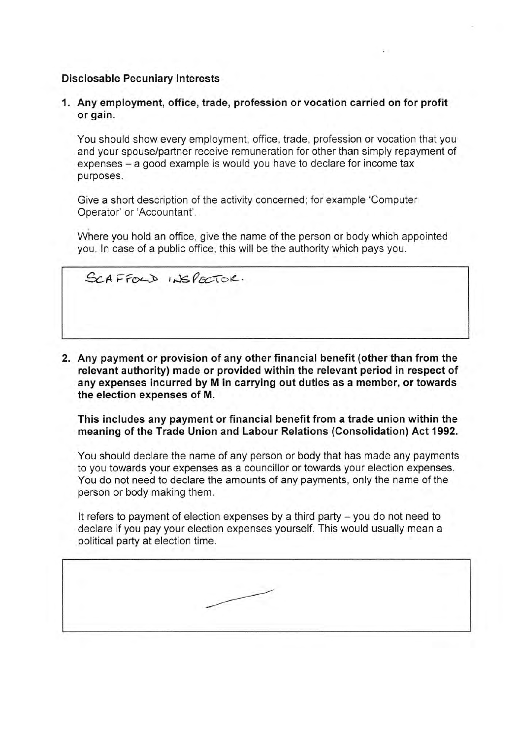# Disclosable Pecuniary lnterests

1. Any employment, office, trade, profession or vocation carried on for profit or gain.

You should show every empioyment, office, trade, profession or vocation that you and your spouse/partner receive remuneration for other than simply repayment of expenses – a good example is would you have to declare for income tax purposes.

Give a short description of the activity concerned; for example 'Computer Operator' or'Accountant'.

Where you hold an office, give the name of the person or body which appointed you. ln case of a public office, this wiil be the authority which pays you.

 $G$ CAFFOLD INSPECTOR.

2. Any payment or provision of any other financial benefit (other than from the relevant authority) made or provided within the relevant period in respect of any expenses incurred by M in carrying out duties as a member, or towards the election expenses of M.

This includes any payment or financial benefit from a trade union within the meaning of the Trade Union and Labour Relations (Consolidation) Act 1992.

You should declare the name of any person or body that has made any payments to you towards your expenses as a councillor or towards your election expenses. You do not need to declare the amounts of any payments, only the name of the person or body making them.

It refers to payment of election expenses by a third party - you do not need to declare if you pay your election expenses yourself. This would usually mean a political party at election time.

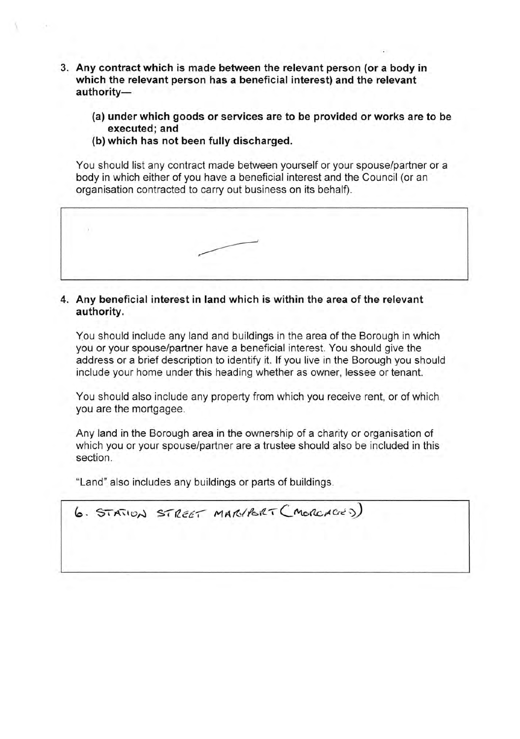- 3. Any contract which is made between the relevant person (or a body in which the relevant person has a beneficial interest) and the relevant authority-
	- (a) under which goods or services are to be provided or works are to be executed; and
	- (b) which has not been fully discharged.

You should list any contract made between yourself or your spouse/partner or a body in which either of you have a beneficial interest and the Council (or an organisation contracted to carry out business on its behalf).



# 4. Any beneficial interest in land which is within the area of the relevant authority.

You should include any land and buildings in the area of the Borough in which you or your spouse/partner have a beneficial interest. You should give the address or a brief description to identify it. lf you live in the Borough you should include your home under this heading whether as owner, lessee or tenant.

You should also include any property from which you receive rent, or of which you are the mortgagee.

Any land in the Borough area in the ownership of a charity or organisation of which you or your spouse/partner are a trustee should also be included in this section.

"Land" also includes any buildings or parts of buildings.

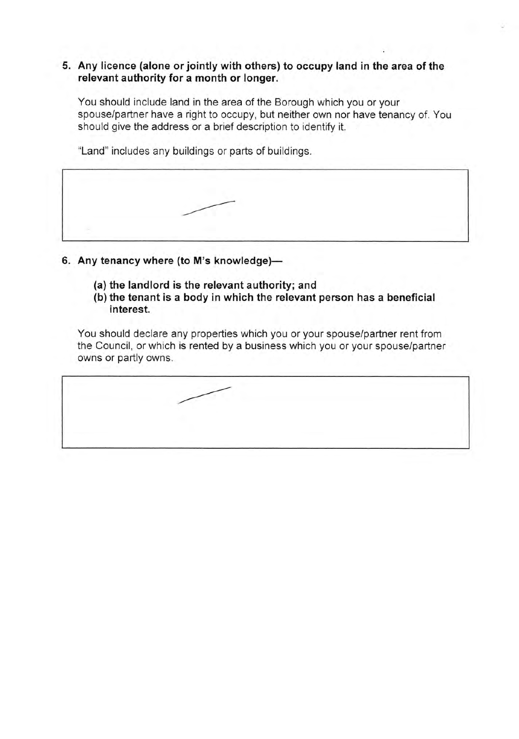# 5. Any licence (alone or jointly with others) to occupy land in the area of the relevant authority for a month or longer.

You should include land in the area of the Borough which you or your spouse/partner have a right to occupy, but neither own nor have tenancy of. You should give the address or a brief description to identify it.

"Land" includes any buildings or parts of buildings.

- 6. Any tenancy where (to M's knowledge)-
	- (a) the landlord is the relevant authority; and
	- (b) the tenant is a body in which the relevant person has a beneficial interest.

You should declare any properties which you or your spouse/partner rent from the Council, or which is rented by a business which you or your spouse/partner owns or partly owns.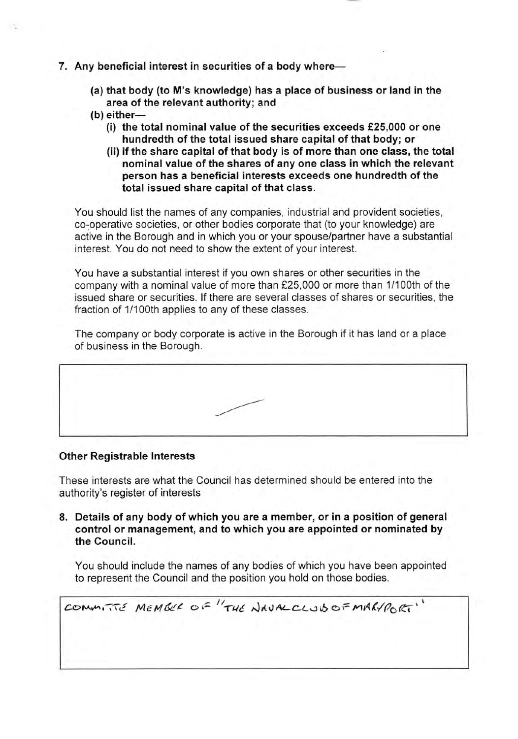- 7. Any beneficial interest in securities of a body where-
	- (a) that body (to M's knowledge) has a place of business or land in the area of the relevant authority; and
	- $(b)$  either-
		- (i) the total nominal value of the securities exceeds  $£25,000$  or one hundredth of the total issued share capital of that body; or
		- (ii) if the share capital of that body is of more than one class, the total nominal value of the shares of any one class in which the relevant person has a beneficial interests exceeds one hundredth of the total issued share capital of that class.

You should list the names of any companies, industrial and provident societies, co-operative societies, or other bodies corporate that (to your knowledge) are active in the Borough and in which you or your spouse/partner have a substantial interest. You do not need to show the extent of your interest.

You have a substantial interest if you own shares or other securities in the company with a nominal value of more than f25,000 or more than 1/100th of the issued share or securities. lf there are several classes of shares or securities, the fraction of 1/100th applies to any of these classes.

The company or body corporate is active in the Borough if it has land or a place of business in the Borough.

| and the contract of the contract of the contract of the contract of the contract of the contract of the contract of<br>the contract of the contract of the contract of the contract of the contract of the contract of the contract of | the property of the company's company's company's company's company's company's company's | and the same same complete construction of the second construction of the same of the same of the same of the same of the same of the same of the same of the same of the same of the same of the same of the same of the same |  |
|----------------------------------------------------------------------------------------------------------------------------------------------------------------------------------------------------------------------------------------|-------------------------------------------------------------------------------------------|--------------------------------------------------------------------------------------------------------------------------------------------------------------------------------------------------------------------------------|--|
|                                                                                                                                                                                                                                        |                                                                                           |                                                                                                                                                                                                                                |  |
|                                                                                                                                                                                                                                        |                                                                                           |                                                                                                                                                                                                                                |  |
|                                                                                                                                                                                                                                        |                                                                                           |                                                                                                                                                                                                                                |  |

### Other Registrable lnterests

These interests are what the Council has determined should be entered into the authority's register of interests

8. Details of any body of which you are a member, or in a position of general control or management, and to which you are appointed or nominated by the Gouncil.

You should include the names of any bodies of which you have been appointed to represent the Council and the position you hold on those bodies.

COMMITTE MEMBER OF "THE NAUAL CLUB OF MARYPORT"